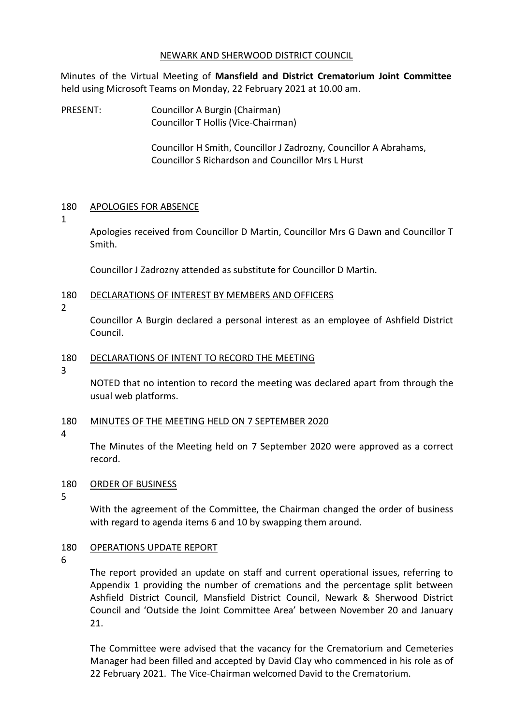## NEWARK AND SHERWOOD DISTRICT COUNCIL

Minutes of the Virtual Meeting of **Mansfield and District Crematorium Joint Committee** held using Microsoft Teams on Monday, 22 February 2021 at 10.00 am.

PRESENT: Councillor A Burgin (Chairman) Councillor T Hollis (Vice-Chairman)

> Councillor H Smith, Councillor J Zadrozny, Councillor A Abrahams, Councillor S Richardson and Councillor Mrs L Hurst

#### 180 APOLOGIES FOR ABSENCE

1

Apologies received from Councillor D Martin, Councillor Mrs G Dawn and Councillor T Smith.

Councillor J Zadrozny attended as substitute for Councillor D Martin.

#### 180 DECLARATIONS OF INTEREST BY MEMBERS AND OFFICERS

2

Councillor A Burgin declared a personal interest as an employee of Ashfield District Council.

#### 180 DECLARATIONS OF INTENT TO RECORD THE MEETING

3

NOTED that no intention to record the meeting was declared apart from through the usual web platforms.

## 180 MINUTES OF THE MEETING HELD ON 7 SEPTEMBER 2020

4

The Minutes of the Meeting held on 7 September 2020 were approved as a correct record.

## 180 ORDER OF BUSINESS

5

With the agreement of the Committee, the Chairman changed the order of business with regard to agenda items 6 and 10 by swapping them around.

## 180 OPERATIONS UPDATE REPORT

6

The report provided an update on staff and current operational issues, referring to Appendix 1 providing the number of cremations and the percentage split between Ashfield District Council, Mansfield District Council, Newark & Sherwood District Council and 'Outside the Joint Committee Area' between November 20 and January 21.

The Committee were advised that the vacancy for the Crematorium and Cemeteries Manager had been filled and accepted by David Clay who commenced in his role as of 22 February 2021. The Vice-Chairman welcomed David to the Crematorium.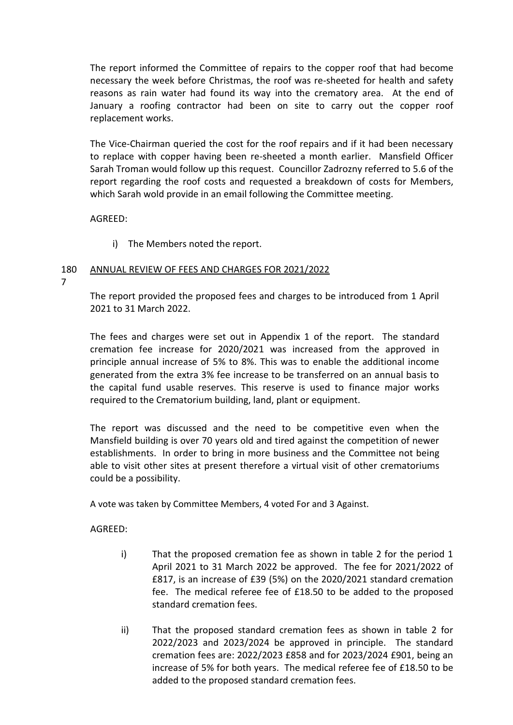The report informed the Committee of repairs to the copper roof that had become necessary the week before Christmas, the roof was re-sheeted for health and safety reasons as rain water had found its way into the crematory area. At the end of January a roofing contractor had been on site to carry out the copper roof replacement works.

The Vice-Chairman queried the cost for the roof repairs and if it had been necessary to replace with copper having been re-sheeted a month earlier. Mansfield Officer Sarah Troman would follow up this request. Councillor Zadrozny referred to 5.6 of the report regarding the roof costs and requested a breakdown of costs for Members, which Sarah wold provide in an email following the Committee meeting.

AGREED:

i) The Members noted the report.

#### 180 ANNUAL REVIEW OF FEES AND CHARGES FOR 2021/2022

7

The report provided the proposed fees and charges to be introduced from 1 April 2021 to 31 March 2022.

The fees and charges were set out in Appendix 1 of the report. The standard cremation fee increase for 2020/2021 was increased from the approved in principle annual increase of 5% to 8%. This was to enable the additional income generated from the extra 3% fee increase to be transferred on an annual basis to the capital fund usable reserves. This reserve is used to finance major works required to the Crematorium building, land, plant or equipment.

The report was discussed and the need to be competitive even when the Mansfield building is over 70 years old and tired against the competition of newer establishments. In order to bring in more business and the Committee not being able to visit other sites at present therefore a virtual visit of other crematoriums could be a possibility.

A vote was taken by Committee Members, 4 voted For and 3 Against.

AGREED:

- i) That the proposed cremation fee as shown in table 2 for the period 1 April 2021 to 31 March 2022 be approved. The fee for 2021/2022 of £817, is an increase of £39 (5%) on the 2020/2021 standard cremation fee. The medical referee fee of £18.50 to be added to the proposed standard cremation fees.
- ii) That the proposed standard cremation fees as shown in table 2 for 2022/2023 and 2023/2024 be approved in principle. The standard cremation fees are: 2022/2023 £858 and for 2023/2024 £901, being an increase of 5% for both years. The medical referee fee of £18.50 to be added to the proposed standard cremation fees.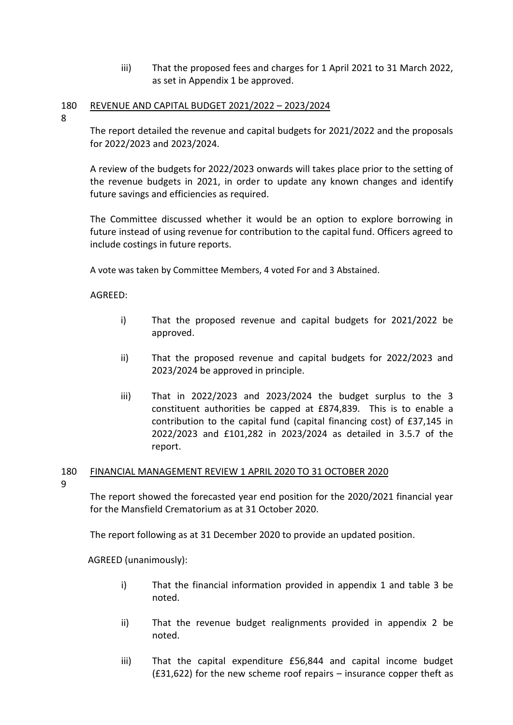iii) That the proposed fees and charges for 1 April 2021 to 31 March 2022, as set in Appendix 1 be approved.

#### 180 REVENUE AND CAPITAL BUDGET 2021/2022 – 2023/2024

8

The report detailed the revenue and capital budgets for 2021/2022 and the proposals for 2022/2023 and 2023/2024.

A review of the budgets for 2022/2023 onwards will takes place prior to the setting of the revenue budgets in 2021, in order to update any known changes and identify future savings and efficiencies as required.

The Committee discussed whether it would be an option to explore borrowing in future instead of using revenue for contribution to the capital fund. Officers agreed to include costings in future reports.

A vote was taken by Committee Members, 4 voted For and 3 Abstained.

AGREED:

- i) That the proposed revenue and capital budgets for 2021/2022 be approved.
- ii) That the proposed revenue and capital budgets for 2022/2023 and 2023/2024 be approved in principle.
- iii) That in 2022/2023 and 2023/2024 the budget surplus to the 3 constituent authorities be capped at £874,839. This is to enable a contribution to the capital fund (capital financing cost) of £37,145 in 2022/2023 and £101,282 in 2023/2024 as detailed in 3.5.7 of the report.

## 180 FINANCIAL MANAGEMENT REVIEW 1 APRIL 2020 TO 31 OCTOBER 2020

9

The report showed the forecasted year end position for the 2020/2021 financial year for the Mansfield Crematorium as at 31 October 2020.

The report following as at 31 December 2020 to provide an updated position.

AGREED (unanimously):

- i) That the financial information provided in appendix 1 and table 3 be noted.
- ii) That the revenue budget realignments provided in appendix 2 be noted.
- iii) That the capital expenditure £56,844 and capital income budget (£31,622) for the new scheme roof repairs – insurance copper theft as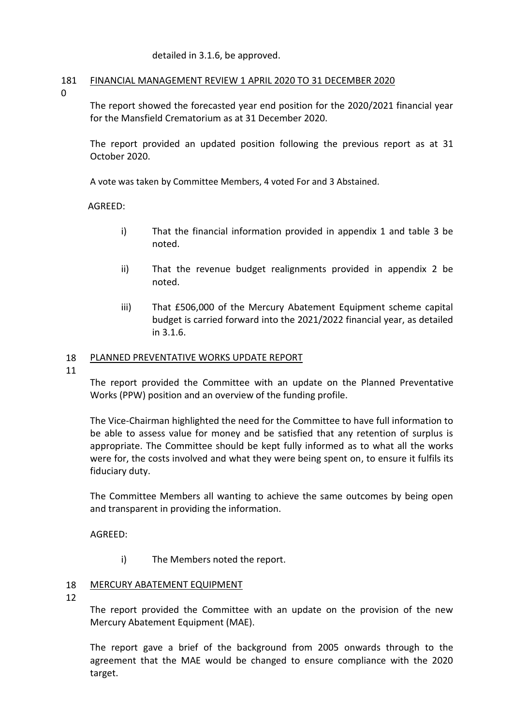# detailed in 3.1.6, be approved.

## 181 FINANCIAL MANAGEMENT REVIEW 1 APRIL 2020 TO 31 DECEMBER 2020

0

The report showed the forecasted year end position for the 2020/2021 financial year for the Mansfield Crematorium as at 31 December 2020.

The report provided an updated position following the previous report as at 31 October 2020.

A vote was taken by Committee Members, 4 voted For and 3 Abstained.

AGREED:

- i) That the financial information provided in appendix 1 and table 3 be noted.
- ii) That the revenue budget realignments provided in appendix 2 be noted.
- iii) That £506,000 of the Mercury Abatement Equipment scheme capital budget is carried forward into the 2021/2022 financial year, as detailed in 3.1.6.

#### 18 PLANNED PREVENTATIVE WORKS UPDATE REPORT

11

The report provided the Committee with an update on the Planned Preventative Works (PPW) position and an overview of the funding profile.

The Vice-Chairman highlighted the need for the Committee to have full information to be able to assess value for money and be satisfied that any retention of surplus is appropriate. The Committee should be kept fully informed as to what all the works were for, the costs involved and what they were being spent on, to ensure it fulfils its fiduciary duty.

The Committee Members all wanting to achieve the same outcomes by being open and transparent in providing the information.

AGREED:

i) The Members noted the report.

## 18 MERCURY ABATEMENT EQUIPMENT

12

The report provided the Committee with an update on the provision of the new Mercury Abatement Equipment (MAE).

The report gave a brief of the background from 2005 onwards through to the agreement that the MAE would be changed to ensure compliance with the 2020 target.